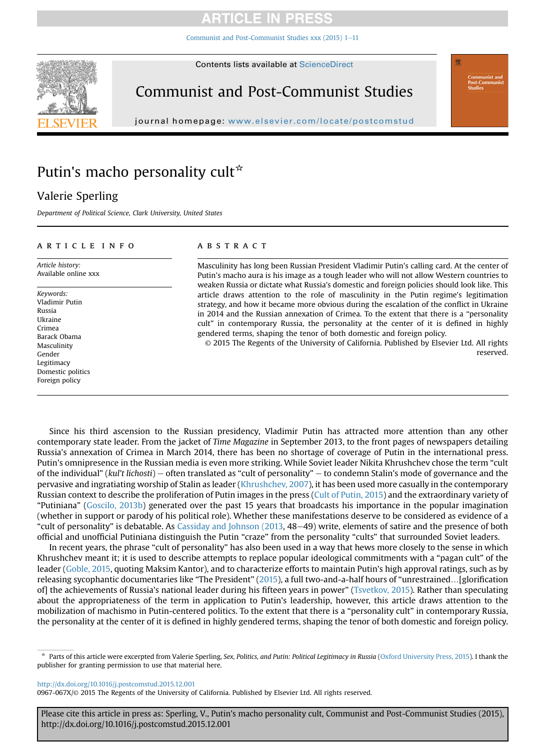[Communist and Post-Communist Studies xxx \(2015\) 1](http://dx.doi.org/10.1016/j.postcomstud.2015.12.001)-[11](http://dx.doi.org/10.1016/j.postcomstud.2015.12.001)

Contents lists available at [ScienceDirect](www.sciencedirect.com/science/journal/0967067X)



Communist and Post-Communist Studies



# Putin's macho personality cult<sup>\*</sup>

### Valerie Sperling

Department of Political Science, Clark University, United States

#### article info

Article history: Available online xxx

Keywords: Vladimir Putin Russia Ukraine Crimea Barack Obama Masculinity Gender Legitimacy Domestic politics Foreign policy

### **ABSTRACT**

Masculinity has long been Russian President Vladimir Putin's calling card. At the center of Putin's macho aura is his image as a tough leader who will not allow Western countries to weaken Russia or dictate what Russia's domestic and foreign policies should look like. This article draws attention to the role of masculinity in the Putin regime's legitimation strategy, and how it became more obvious during the escalation of the conflict in Ukraine in 2014 and the Russian annexation of Crimea. To the extent that there is a "personality cult" in contemporary Russia, the personality at the center of it is defined in highly gendered terms, shaping the tenor of both domestic and foreign policy.

© 2015 The Regents of the University of California. Published by Elsevier Ltd. All rights reserved.

Since his third ascension to the Russian presidency, Vladimir Putin has attracted more attention than any other contemporary state leader. From the jacket of Time Magazine in September 2013, to the front pages of newspapers detailing Russia's annexation of Crimea in March 2014, there has been no shortage of coverage of Putin in the international press. Putin's omnipresence in the Russian media is even more striking. While Soviet leader Nikita Khrushchev chose the term "cult of the individual" (kul't lichosti) – often translated as "cult of personality" – to condemn Stalin's mode of governance and the pervasive and ingratiating worship of Stalin as leader [\(Khrushchev, 2007\)](#page-9-0), it has been used more casually in the contemporary Russian context to describe the proliferation of Putin images in the press [\(Cult of Putin, 2015](#page-9-0)) and the extraordinary variety of "Putiniana" ([Goscilo, 2013b](#page-9-0)) generated over the past 15 years that broadcasts his importance in the popular imagination (whether in support or parody of his political role). Whether these manifestations deserve to be considered as evidence of a "cult of personality" is debatable. As [Cassiday and Johnson \(2013](#page-9-0), 48-49) write, elements of satire and the presence of both official and unofficial Putiniana distinguish the Putin "craze" from the personality "cults" that surrounded Soviet leaders.

In recent years, the phrase "cult of personality" has also been used in a way that hews more closely to the sense in which Khrushchev meant it; it is used to describe attempts to replace popular ideological commitments with a "pagan cult" of the leader [\(Goble, 2015](#page-9-0), quoting Maksim Kantor), and to characterize efforts to maintain Putin's high approval ratings, such as by releasing sycophantic documentaries like "The President" ([2015](#page-10-0)), a full two-and-a-half hours of "unrestrained…[glorification of] the achievements of Russia's national leader during his fifteen years in power" ([Tsvetkov, 2015\)](#page-10-0). Rather than speculating about the appropriateness of the term in application to Putin's leadership, however, this article draws attention to the mobilization of machismo in Putin-centered politics. To the extent that there is a "personality cult" in contemporary Russia, the personality at the center of it is defined in highly gendered terms, shaping the tenor of both domestic and foreign policy.

<http://dx.doi.org/10.1016/j.postcomstud.2015.12.001>

Parts of this article were excerpted from Valerie Sperling, Sex, Politics, and Putin: Political Legitimacy in Russia ([Oxford University Press, 2015\)](#page-10-0). I thank the publisher for granting permission to use that material here.

<sup>0967-067</sup>X/© 2015 The Regents of the University of California. Published by Elsevier Ltd. All rights reserved.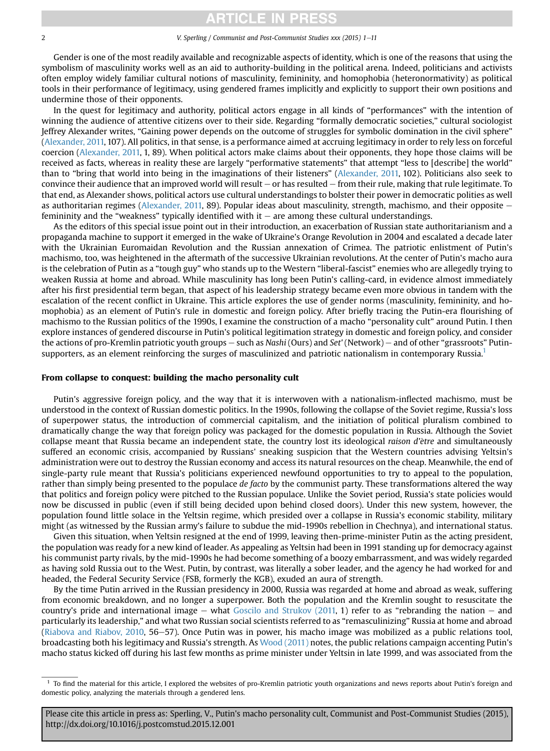#### 2 V. Sperling / Communist and Post-Communist Studies xxx (2015) 1-11

Gender is one of the most readily available and recognizable aspects of identity, which is one of the reasons that using the symbolism of masculinity works well as an aid to authority-building in the political arena. Indeed, politicians and activists often employ widely familiar cultural notions of masculinity, femininity, and homophobia (heteronormativity) as political tools in their performance of legitimacy, using gendered frames implicitly and explicitly to support their own positions and undermine those of their opponents.

In the quest for legitimacy and authority, political actors engage in all kinds of "performances" with the intention of winning the audience of attentive citizens over to their side. Regarding "formally democratic societies," cultural sociologist Jeffrey Alexander writes, "Gaining power depends on the outcome of struggles for symbolic domination in the civil sphere" [\(Alexander, 2011,](#page-8-0) 107). All politics, in that sense, is a performance aimed at accruing legitimacy in order to rely less on forceful coercion ([Alexander, 2011,](#page-8-0) 1, 89). When political actors make claims about their opponents, they hope those claims will be received as facts, whereas in reality these are largely "performative statements" that attempt "less to [describe] the world" than to "bring that world into being in the imaginations of their listeners" ([Alexander, 2011,](#page-8-0) 102). Politicians also seek to convince their audience that an improved world will result  $-$  or has resulted  $-$  from their rule, making that rule legitimate. To that end, as Alexander shows, political actors use cultural understandings to bolster their power in democratic polities as well as authoritarian regimes [\(Alexander, 2011,](#page-8-0) 89). Popular ideas about masculinity, strength, machismo, and their opposite  $$ femininity and the "weakness" typically identified with it  $-$  are among these cultural understandings.

As the editors of this special issue point out in their introduction, an exacerbation of Russian state authoritarianism and a propaganda machine to support it emerged in the wake of Ukraine's Orange Revolution in 2004 and escalated a decade later with the Ukrainian Euromaidan Revolution and the Russian annexation of Crimea. The patriotic enlistment of Putin's machismo, too, was heightened in the aftermath of the successive Ukrainian revolutions. At the center of Putin's macho aura is the celebration of Putin as a "tough guy" who stands up to the Western "liberal-fascist" enemies who are allegedly trying to weaken Russia at home and abroad. While masculinity has long been Putin's calling-card, in evidence almost immediately after his first presidential term began, that aspect of his leadership strategy became even more obvious in tandem with the escalation of the recent conflict in Ukraine. This article explores the use of gender norms (masculinity, femininity, and homophobia) as an element of Putin's rule in domestic and foreign policy. After briefly tracing the Putin-era flourishing of machismo to the Russian politics of the 1990s, I examine the construction of a macho "personality cult" around Putin. I then explore instances of gendered discourse in Putin's political legitimation strategy in domestic and foreign policy, and consider the actions of pro-Kremlin patriotic youth groups – such as Nashi (Ours) and Set' (Network) – and of other "grassroots" Putinsupporters, as an element reinforcing the surges of masculinized and patriotic nationalism in contemporary Russia.<sup>1</sup>

#### From collapse to conquest: building the macho personality cult

Putin's aggressive foreign policy, and the way that it is interwoven with a nationalism-inflected machismo, must be understood in the context of Russian domestic politics. In the 1990s, following the collapse of the Soviet regime, Russia's loss of superpower status, the introduction of commercial capitalism, and the initiation of political pluralism combined to dramatically change the way that foreign policy was packaged for the domestic population in Russia. Although the Soviet collapse meant that Russia became an independent state, the country lost its ideological raison d'être and simultaneously suffered an economic crisis, accompanied by Russians' sneaking suspicion that the Western countries advising Yeltsin's administration were out to destroy the Russian economy and access its natural resources on the cheap. Meanwhile, the end of single-party rule meant that Russia's politicians experienced newfound opportunities to try to appeal to the population, rather than simply being presented to the populace de facto by the communist party. These transformations altered the way that politics and foreign policy were pitched to the Russian populace. Unlike the Soviet period, Russia's state policies would now be discussed in public (even if still being decided upon behind closed doors). Under this new system, however, the population found little solace in the Yeltsin regime, which presided over a collapse in Russia's economic stability, military might (as witnessed by the Russian army's failure to subdue the mid-1990s rebellion in Chechnya), and international status.

Given this situation, when Yeltsin resigned at the end of 1999, leaving then-prime-minister Putin as the acting president, the population was ready for a new kind of leader. As appealing as Yeltsin had been in 1991 standing up for democracy against his communist party rivals, by the mid-1990s he had become something of a boozy embarrassment, and was widely regarded as having sold Russia out to the West. Putin, by contrast, was literally a sober leader, and the agency he had worked for and headed, the Federal Security Service (FSB, formerly the KGB), exuded an aura of strength.

By the time Putin arrived in the Russian presidency in 2000, Russia was regarded at home and abroad as weak, suffering from economic breakdown, and no longer a superpower. Both the population and the Kremlin sought to resuscitate the country's pride and international image  $-$  what [Goscilo and Strukov \(2011,](#page-9-0) 1) refer to as "rebranding the nation  $-$  and particularly its leadership," and what two Russian social scientists referred to as "remasculinizing" Russia at home and abroad [\(Riabova and Riabov, 2010](#page-9-0), 56–57). Once Putin was in power, his macho image was mobilized as a public relations tool, broadcasting both his legitimacy and Russia's strength. As [Wood \(2011\)](#page-10-0) notes, the public relations campaign accenting Putin's macho status kicked off during his last few months as prime minister under Yeltsin in late 1999, and was associated from the

<sup>&</sup>lt;sup>1</sup> To find the material for this article, I explored the websites of pro-Kremlin patriotic youth organizations and news reports about Putin's foreign and domestic policy, analyzing the materials through a gendered lens.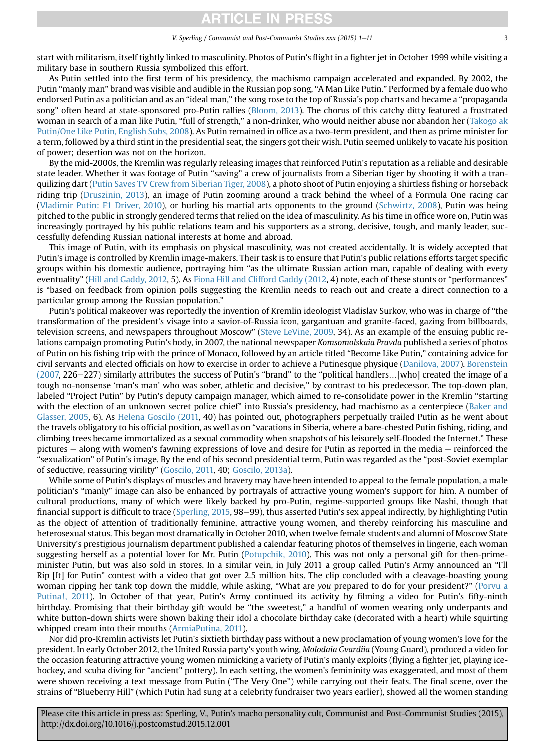start with militarism, itself tightly linked to masculinity. Photos of Putin's flight in a fighter jet in October 1999 while visiting a military base in southern Russia symbolized this effort.

As Putin settled into the first term of his presidency, the machismo campaign accelerated and expanded. By 2002, the Putin "manly man" brand was visible and audible in the Russian pop song, "A Man Like Putin." Performed by a female duo who endorsed Putin as a politician and as an "ideal man," the song rose to the top of Russia's pop charts and became a "propaganda song" often heard at state-sponsored pro-Putin rallies [\(Bloom, 2013](#page-8-0)). The chorus of this catchy ditty featured a frustrated woman in search of a man like Putin, "full of strength," a non-drinker, who would neither abuse nor abandon her ([Takogo ak](#page-10-0) [Putin/One Like Putin, English Subs, 2008\)](#page-10-0). As Putin remained in office as a two-term president, and then as prime minister for a term, followed by a third stint in the presidential seat, the singers got their wish. Putin seemed unlikely to vacate his position of power; desertion was not on the horizon.

By the mid-2000s, the Kremlin was regularly releasing images that reinforced Putin's reputation as a reliable and desirable state leader. Whether it was footage of Putin "saving" a crew of journalists from a Siberian tiger by shooting it with a tranquilizing dart ([Putin Saves TV Crew from Siberian Tiger, 2008\)](#page-9-0), a photo shoot of Putin enjoying a shirtless fishing or horseback riding trip [\(Druszinin, 2013](#page-9-0)), an image of Putin zooming around a track behind the wheel of a Formula One racing car ([Vladimir Putin: F1 Driver, 2010](#page-10-0)), or hurling his martial arts opponents to the ground ([Schwirtz, 2008](#page-9-0)), Putin was being pitched to the public in strongly gendered terms that relied on the idea of masculinity. As his time in office wore on, Putin was increasingly portrayed by his public relations team and his supporters as a strong, decisive, tough, and manly leader, successfully defending Russian national interests at home and abroad.

This image of Putin, with its emphasis on physical masculinity, was not created accidentally. It is widely accepted that Putin's image is controlled by Kremlin image-makers. Their task is to ensure that Putin's public relations efforts target specific groups within his domestic audience, portraying him "as the ultimate Russian action man, capable of dealing with every eventuality" ([Hill and Gaddy, 2012,](#page-9-0) 5). As [Fiona Hill and Clifford Gaddy \(2012,](#page-9-0) 4) note, each of these stunts or "performances" is "based on feedback from opinion polls suggesting the Kremlin needs to reach out and create a direct connection to a particular group among the Russian population."

Putin's political makeover was reportedly the invention of Kremlin ideologist Vladislav Surkov, who was in charge of "the transformation of the president's visage into a savior-of-Russia icon, gargantuan and granite-faced, gazing from billboards, television screens, and newspapers throughout Moscow" ([Steve LeVine, 2009](#page-9-0), 34). As an example of the ensuing public relations campaign promoting Putin's body, in 2007, the national newspaper Komsomolskaia Pravda published a series of photos of Putin on his fishing trip with the prince of Monaco, followed by an article titled "Become Like Putin," containing advice for civil servants and elected officials on how to exercise in order to achieve a Putinesque physique [\(Danilova, 2007\)](#page-9-0). [Borenstein](#page-9-0)  $(2007, 226-227)$  $(2007, 226-227)$  similarly attributes the success of Putin's "brand" to the "political handlers... $[who]$  created the image of a tough no-nonsense 'man's man' who was sober, athletic and decisive," by contrast to his predecessor. The top-down plan, labeled "Project Putin" by Putin's deputy campaign manager, which aimed to re-consolidate power in the Kremlin "starting with the election of an unknown secret police chief" into Russia's presidency, had machismo as a centerpiece ([Baker and](#page-8-0) [Glasser, 2005,](#page-8-0) 6). As [Helena Goscilo \(2011,](#page-9-0) 40) has pointed out, photographers perpetually trailed Putin as he went about the travels obligatory to his official position, as well as on "vacations in Siberia, where a bare-chested Putin fishing, riding, and climbing trees became immortalized as a sexual commodity when snapshots of his leisurely self-flooded the Internet." These pictures – along with women's fawning expressions of love and desire for Putin as reported in the media – reinforced the "sexualization" of Putin's image. By the end of his second presidential term, Putin was regarded as the "post-Soviet exemplar of seductive, reassuring virility" [\(Goscilo, 2011,](#page-9-0) 40; [Goscilo, 2013a\)](#page-9-0).

While some of Putin's displays of muscles and bravery may have been intended to appeal to the female population, a male politician's "manly" image can also be enhanced by portrayals of attractive young women's support for him. A number of cultural productions, many of which were likely backed by pro-Putin, regime-supported groups like Nashi, though that financial support is difficult to trace ([Sperling, 2015,](#page-10-0) 98–99), thus asserted Putin's sex appeal indirectly, by highlighting Putin as the object of attention of traditionally feminine, attractive young women, and thereby reinforcing his masculine and heterosexual status. This began most dramatically in October 2010, when twelve female students and alumni of Moscow State University's prestigious journalism department published a calendar featuring photos of themselves in lingerie, each woman suggesting herself as a potential lover for Mr. Putin [\(Potupchik, 2010\)](#page-9-0). This was not only a personal gift for then-primeminister Putin, but was also sold in stores. In a similar vein, in July 2011 a group called Putin's Army announced an "I'll Rip [It] for Putin" contest with a video that got over 2.5 million hits. The clip concluded with a cleavage-boasting young woman ripping her tank top down the middle, while asking, "What are you prepared to do for your president?" ([Porvu a](#page-9-0) [Putina!, 2011\)](#page-9-0). In October of that year, Putin's Army continued its activity by filming a video for Putin's fifty-ninth birthday. Promising that their birthday gift would be "the sweetest," a handful of women wearing only underpants and white button-down shirts were shown baking their idol a chocolate birthday cake (decorated with a heart) while squirting whipped cream into their mouths ([ArmiaPutina, 2011](#page-8-0)).

Nor did pro-Kremlin activists let Putin's sixtieth birthday pass without a new proclamation of young women's love for the president. In early October 2012, the United Russia party's youth wing, Molodaia Gvardiia (Young Guard), produced a video for the occasion featuring attractive young women mimicking a variety of Putin's manly exploits (flying a fighter jet, playing icehockey, and scuba diving for "ancient" pottery). In each setting, the women's femininity was exaggerated, and most of them were shown receiving a text message from Putin ("The Very One") while carrying out their feats. The final scene, over the strains of "Blueberry Hill" (which Putin had sung at a celebrity fundraiser two years earlier), showed all the women standing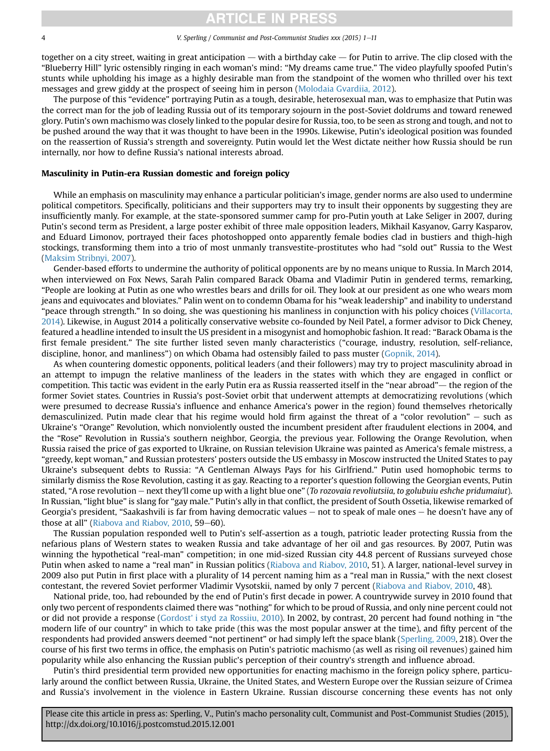#### V. Sperling / Communist and Post-Communist Studies xxx (2015)  $1-11$

together on a city street, waiting in great anticipation — with a birthday cake — for Putin to arrive. The clip closed with the "Blueberry Hill" lyric ostensibly ringing in each woman's mind: "My dreams came true." The video playfully spoofed Putin's stunts while upholding his image as a highly desirable man from the standpoint of the women who thrilled over his text messages and grew giddy at the prospect of seeing him in person [\(Molodaia Gvardiia, 2012](#page-9-0)).

The purpose of this "evidence" portraying Putin as a tough, desirable, heterosexual man, was to emphasize that Putin was the correct man for the job of leading Russia out of its temporary sojourn in the post-Soviet doldrums and toward renewed glory. Putin's own machismo was closely linked to the popular desire for Russia, too, to be seen as strong and tough, and not to be pushed around the way that it was thought to have been in the 1990s. Likewise, Putin's ideological position was founded on the reassertion of Russia's strength and sovereignty. Putin would let the West dictate neither how Russia should be run internally, nor how to define Russia's national interests abroad.

#### Masculinity in Putin-era Russian domestic and foreign policy

While an emphasis on masculinity may enhance a particular politician's image, gender norms are also used to undermine political competitors. Specifically, politicians and their supporters may try to insult their opponents by suggesting they are insufficiently manly. For example, at the state-sponsored summer camp for pro-Putin youth at Lake Seliger in 2007, during Putin's second term as President, a large poster exhibit of three male opposition leaders, Mikhail Kasyanov, Garry Kasparov, and Eduard Limonov, portrayed their faces photoshopped onto apparently female bodies clad in bustiers and thigh-high stockings, transforming them into a trio of most unmanly transvestite-prostitutes who had "sold out" Russia to the West [\(Maksim Stribnyi, 2007\)](#page-9-0).

Gender-based efforts to undermine the authority of political opponents are by no means unique to Russia. In March 2014, when interviewed on Fox News, Sarah Palin compared Barack Obama and Vladimir Putin in gendered terms, remarking, "People are looking at Putin as one who wrestles bears and drills for oil. They look at our president as one who wears mom jeans and equivocates and bloviates." Palin went on to condemn Obama for his "weak leadership" and inability to understand "peace through strength." In so doing, she was questioning his manliness in conjunction with his policy choices [\(Villacorta,](#page-10-0) [2014](#page-10-0)). Likewise, in August 2014 a politically conservative website co-founded by Neil Patel, a former advisor to Dick Cheney, featured a headline intended to insult the US president in a misogynist and homophobic fashion. It read: "Barack Obama is the first female president." The site further listed seven manly characteristics ("courage, industry, resolution, self-reliance, discipline, honor, and manliness") on which Obama had ostensibly failed to pass muster ([Gopnik, 2014\)](#page-9-0).

As when countering domestic opponents, political leaders (and their followers) may try to project masculinity abroad in an attempt to impugn the relative manliness of the leaders in the states with which they are engaged in conflict or competition. This tactic was evident in the early Putin era as Russia reasserted itself in the "near abroad"— the region of the former Soviet states. Countries in Russia's post-Soviet orbit that underwent attempts at democratizing revolutions (which were presumed to decrease Russia's influence and enhance America's power in the region) found themselves rhetorically demasculinized. Putin made clear that his regime would hold firm against the threat of a "color revolution"  $-$  such as Ukraine's "Orange" Revolution, which nonviolently ousted the incumbent president after fraudulent elections in 2004, and the "Rose" Revolution in Russia's southern neighbor, Georgia, the previous year. Following the Orange Revolution, when Russia raised the price of gas exported to Ukraine, on Russian television Ukraine was painted as America's female mistress, a "greedy, kept woman," and Russian protesters' posters outside the US embassy in Moscow instructed the United States to pay Ukraine's subsequent debts to Russia: "A Gentleman Always Pays for his Girlfriend." Putin used homophobic terms to similarly dismiss the Rose Revolution, casting it as gay. Reacting to a reporter's question following the Georgian events, Putin stated, "A rose revolution - next they'll come up with a light blue one" (To rozovaia revoliutsiia, to golubuiu eshche pridumaiut). In Russian, "light blue" is slang for "gay male." Putin's ally in that conflict, the president of South Ossetia, likewise remarked of Georgia's president, "Saakashvili is far from having democratic values  $-$  not to speak of male ones  $-$  he doesn't have any of those at all" (Riabova and Riabov,  $2010$ ,  $59-60$ ).

The Russian population responded well to Putin's self-assertion as a tough, patriotic leader protecting Russia from the nefarious plans of Western states to weaken Russia and take advantage of her oil and gas resources. By 2007, Putin was winning the hypothetical "real-man" competition; in one mid-sized Russian city 44.8 percent of Russians surveyed chose Putin when asked to name a "real man" in Russian politics ([Riabova and Riabov, 2010,](#page-9-0) 51). A larger, national-level survey in 2009 also put Putin in first place with a plurality of 14 percent naming him as a "real man in Russia," with the next closest contestant, the revered Soviet performer Vladimir Vysotskii, named by only 7 percent [\(Riabova and Riabov, 2010](#page-9-0), 48).

National pride, too, had rebounded by the end of Putin's first decade in power. A countrywide survey in 2010 found that only two percent of respondents claimed there was "nothing" for which to be proud of Russia, and only nine percent could not or did not provide a response [\(Gordost' i styd za Rossiiu, 2010\)](#page-9-0). In 2002, by contrast, 20 percent had found nothing in "the modern life of our country" in which to take pride (this was the most popular answer at the time), and fifty percent of the respondents had provided answers deemed "not pertinent" or had simply left the space blank ([Sperling, 2009](#page-10-0), 218). Over the course of his first two terms in office, the emphasis on Putin's patriotic machismo (as well as rising oil revenues) gained him popularity while also enhancing the Russian public's perception of their country's strength and influence abroad.

Putin's third presidential term provided new opportunities for enacting machismo in the foreign policy sphere, particularly around the conflict between Russia, Ukraine, the United States, and Western Europe over the Russian seizure of Crimea and Russia's involvement in the violence in Eastern Ukraine. Russian discourse concerning these events has not only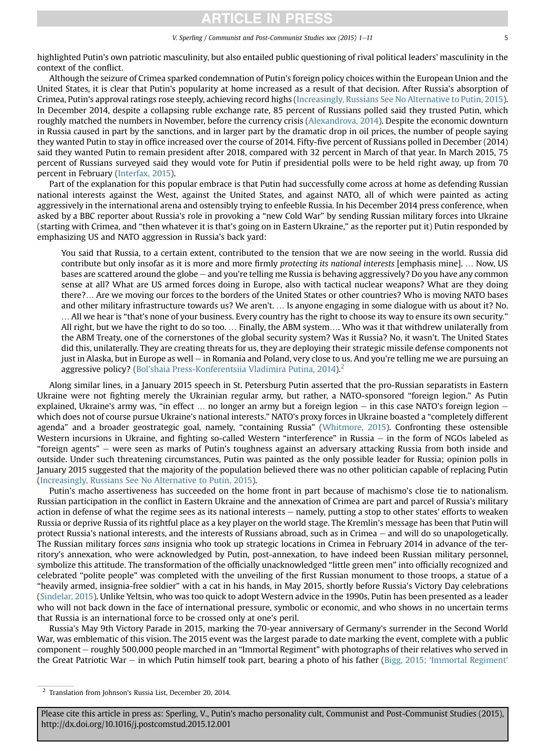highlighted Putin's own patriotic masculinity, but also entailed public questioning of rival political leaders' masculinity in the context of the conflict.

Although the seizure of Crimea sparked condemnation of Putin's foreign policy choices within the European Union and the United States, it is clear that Putin's popularity at home increased as a result of that decision. After Russia's absorption of Crimea, Putin's approval ratings rose steeply, achieving record highs ([Increasingly, Russians See No Alternative to Putin, 2015](#page-9-0)). In December 2014, despite a collapsing ruble exchange rate, 85 percent of Russians polled said they trusted Putin, which roughly matched the numbers in November, before the currency crisis ([Alexandrova, 2014\)](#page-8-0). Despite the economic downturn in Russia caused in part by the sanctions, and in larger part by the dramatic drop in oil prices, the number of people saying they wanted Putin to stay in office increased over the course of 2014. Fifty-five percent of Russians polled in December (2014) said they wanted Putin to remain president after 2018, compared with 32 percent in March of that year. In March 2015, 75 percent of Russians surveyed said they would vote for Putin if presidential polls were to be held right away, up from 70 percent in February ([Interfax, 2015](#page-9-0)).

Part of the explanation for this popular embrace is that Putin had successfully come across at home as defending Russian national interests against the West, against the United States, and against NATO, all of which were painted as acting aggressively in the international arena and ostensibly trying to enfeeble Russia. In his December 2014 press conference, when asked by a BBC reporter about Russia's role in provoking a "new Cold War" by sending Russian military forces into Ukraine (starting with Crimea, and "then whatever it is that's going on in Eastern Ukraine," as the reporter put it) Putin responded by emphasizing US and NATO aggression in Russia's back yard:

You said that Russia, to a certain extent, contributed to the tension that we are now seeing in the world. Russia did contribute but only insofar as it is more and more firmly protecting its national interests [emphasis mine]. … Now, US bases are scattered around the globe - and you're telling me Russia is behaving aggressively? Do you have any common sense at all? What are US armed forces doing in Europe, also with tactical nuclear weapons? What are they doing there?… Are we moving our forces to the borders of the United States or other countries? Who is moving NATO bases and other military infrastructure towards us? We aren't. … Is anyone engaging in some dialogue with us about it? No. … All we hear is "that's none of your business. Every country has the right to choose its way to ensure its own security." All right, but we have the right to do so too. … Finally, the ABM system…. Who was it that withdrew unilaterally from the ABM Treaty, one of the cornerstones of the global security system? Was it Russia? No, it wasn't. The United States did this, unilaterally. They are creating threats for us, they are deploying their strategic missile defense components not just in Alaska, but in Europe as well – in Romania and Poland, very close to us. And you're telling me we are pursuing an aggressive policy? ([Bol'shaia Press-Konferentsiia Vladimira Putina, 2014](#page-8-0)).<sup>2</sup>

Along similar lines, in a January 2015 speech in St. Petersburg Putin asserted that the pro-Russian separatists in Eastern Ukraine were not fighting merely the Ukrainian regular army, but rather, a NATO-sponsored "foreign legion." As Putin explained, Ukraine's army was, "in effect  $\dots$  no longer an army but a foreign legion  $-$  in this case NATO's foreign legion  $$ which does not of course pursue Ukraine's national interests." NATO's proxy forces in Ukraine boasted a "completely different agenda" and a broader geostrategic goal, namely, "containing Russia" [\(Whitmore, 2015](#page-10-0)). Confronting these ostensible Western incursions in Ukraine, and fighting so-called Western "interference" in Russia  $-$  in the form of NGOs labeled as "foreign agents" – were seen as marks of Putin's toughness against an adversary attacking Russia from both inside and outside. Under such threatening circumstances, Putin was painted as the only possible leader for Russia; opinion polls in January 2015 suggested that the majority of the population believed there was no other politician capable of replacing Putin ([Increasingly, Russians See No Alternative to Putin, 2015\)](#page-9-0).

Putin's macho assertiveness has succeeded on the home front in part because of machismo's close tie to nationalism. Russian participation in the conflict in Eastern Ukraine and the annexation of Crimea are part and parcel of Russia's military action in defense of what the regime sees as its national interests – namely, putting a stop to other states' efforts to weaken Russia or deprive Russia of its rightful place as a key player on the world stage. The Kremlin's message has been that Putin will protect Russia's national interests, and the interests of Russians abroad, such as in Crimea – and will do so unapologetically. The Russian military forces sans insignia who took up strategic locations in Crimea in February 2014 in advance of the territory's annexation, who were acknowledged by Putin, post-annexation, to have indeed been Russian military personnel, symbolize this attitude. The transformation of the officially unacknowledged "little green men" into officially recognized and celebrated "polite people" was completed with the unveiling of the first Russian monument to those troops, a statue of a "heavily armed, insignia-free soldier" with a cat in his hands, in May 2015, shortly before Russia's Victory Day celebrations ([Sindelar, 2015](#page-10-0)). Unlike Yeltsin, who was too quick to adopt Western advice in the 1990s, Putin has been presented as a leader who will not back down in the face of international pressure, symbolic or economic, and who shows in no uncertain terms that Russia is an international force to be crossed only at one's peril.

Russia's May 9th Victory Parade in 2015, marking the 70-year anniversary of Germany's surrender in the Second World War, was emblematic of this vision. The 2015 event was the largest parade to date marking the event, complete with a public component – roughly 500,000 people marched in an "Immortal Regiment" with photographs of their relatives who served in the Great Patriotic War e in which Putin himself took part, bearing a photo of his father (Bigg, 2015; '[Immortal Regiment](#page-8-0)'

<sup>2</sup> Translation from Johnson's Russia List, December 20, 2014.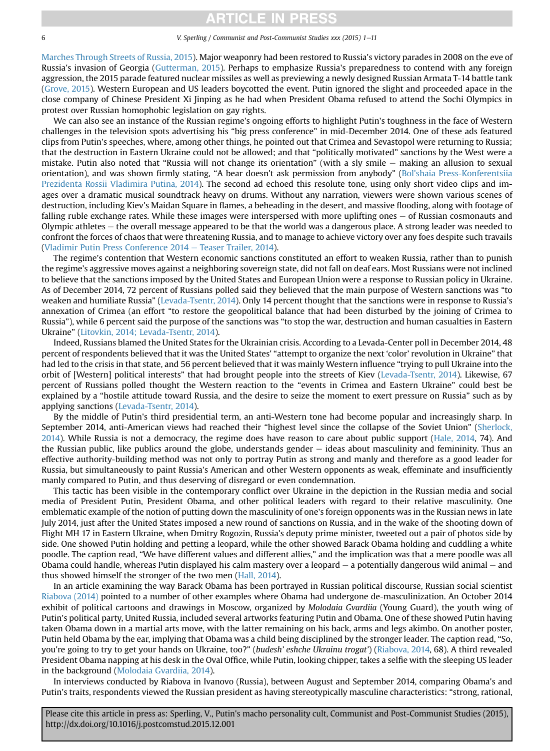#### 6 V. Sperling / Communist and Post-Communist Studies xxx (2015) 1-11

[Marches Through Streets of Russia, 2015\)](#page-8-0). Major weaponry had been restored to Russia's victory parades in 2008 on the eve of Russia's invasion of Georgia ([Gutterman, 2015\)](#page-9-0). Perhaps to emphasize Russia's preparedness to contend with any foreign aggression, the 2015 parade featured nuclear missiles as well as previewing a newly designed Russian Armata T-14 battle tank [\(Grove, 2015](#page-9-0)). Western European and US leaders boycotted the event. Putin ignored the slight and proceeded apace in the close company of Chinese President Xi Jinping as he had when President Obama refused to attend the Sochi Olympics in protest over Russian homophobic legislation on gay rights.

We can also see an instance of the Russian regime's ongoing efforts to highlight Putin's toughness in the face of Western challenges in the television spots advertising his "big press conference" in mid-December 2014. One of these ads featured clips from Putin's speeches, where, among other things, he pointed out that Crimea and Sevastopol were returning to Russia; that the destruction in Eastern Ukraine could not be allowed; and that "politically motivated" sanctions by the West were a mistake. Putin also noted that "Russia will not change its orientation" (with a sly smile  $-$  making an allusion to sexual orientation), and was shown firmly stating, "A bear doesn't ask permission from anybody" ([Bol'shaia Press-Konferentsiia](#page-8-0) [Prezidenta Rossii Vladimira Putina, 2014\)](#page-8-0). The second ad echoed this resolute tone, using only short video clips and images over a dramatic musical soundtrack heavy on drums. Without any narration, viewers were shown various scenes of destruction, including Kiev's Maidan Square in flames, a beheading in the desert, and massive flooding, along with footage of falling ruble exchange rates. While these images were interspersed with more uplifting ones  $-$  of Russian cosmonauts and Olympic athletes e the overall message appeared to be that the world was a dangerous place. A strong leader was needed to confront the forces of chaos that were threatening Russia, and to manage to achieve victory over any foes despite such travails [\(Vladimir Putin Press Conference 2014](#page-10-0) – [Teaser Trailer, 2014](#page-10-0)).

The regime's contention that Western economic sanctions constituted an effort to weaken Russia, rather than to punish the regime's aggressive moves against a neighboring sovereign state, did not fall on deaf ears. Most Russians were not inclined to believe that the sanctions imposed by the United States and European Union were a response to Russian policy in Ukraine. As of December 2014, 72 percent of Russians polled said they believed that the main purpose of Western sanctions was "to weaken and humiliate Russia" [\(Levada-Tsentr, 2014](#page-9-0)). Only 14 percent thought that the sanctions were in response to Russia's annexation of Crimea (an effort "to restore the geopolitical balance that had been disturbed by the joining of Crimea to Russia"), while 6 percent said the purpose of the sanctions was "to stop the war, destruction and human casualties in Eastern Ukraine" ([Litovkin, 2014; Levada-Tsentr, 2014\)](#page-9-0).

Indeed, Russians blamed the United States for the Ukrainian crisis. According to a Levada-Center poll in December 2014, 48 percent of respondents believed that it was the United States' "attempt to organize the next 'color' revolution in Ukraine" that had led to the crisis in that state, and 56 percent believed that it was mainly Western influence "trying to pull Ukraine into the orbit of [Western] political interests" that had brought people into the streets of Kiev [\(Levada-Tsentr, 2014](#page-9-0)). Likewise, 67 percent of Russians polled thought the Western reaction to the "events in Crimea and Eastern Ukraine" could best be explained by a "hostile attitude toward Russia, and the desire to seize the moment to exert pressure on Russia" such as by applying sanctions [\(Levada-Tsentr, 2014\)](#page-9-0).

By the middle of Putin's third presidential term, an anti-Western tone had become popular and increasingly sharp. In September 2014, anti-American views had reached their "highest level since the collapse of the Soviet Union" [\(Sherlock,](#page-10-0) [2014](#page-10-0)). While Russia is not a democracy, the regime does have reason to care about public support ([Hale, 2014](#page-9-0), 74). And the Russian public, like publics around the globe, understands gender  $-$  ideas about masculinity and femininity. Thus an effective authority-building method was not only to portray Putin as strong and manly and therefore as a good leader for Russia, but simultaneously to paint Russia's American and other Western opponents as weak, effeminate and insufficiently manly compared to Putin, and thus deserving of disregard or even condemnation.

This tactic has been visible in the contemporary conflict over Ukraine in the depiction in the Russian media and social media of President Putin, President Obama, and other political leaders with regard to their relative masculinity. One emblematic example of the notion of putting down the masculinity of one's foreign opponents was in the Russian news in late July 2014, just after the United States imposed a new round of sanctions on Russia, and in the wake of the shooting down of Flight MH 17 in Eastern Ukraine, when Dmitry Rogozin, Russia's deputy prime minister, tweeted out a pair of photos side by side. One showed Putin holding and petting a leopard, while the other showed Barack Obama holding and cuddling a white poodle. The caption read, "We have different values and different allies," and the implication was that a mere poodle was all Obama could handle, whereas Putin displayed his calm mastery over a leopard  $-$  a potentially dangerous wild animal  $-$  and thus showed himself the stronger of the two men ([Hall, 2014\)](#page-9-0).

In an article examining the way Barack Obama has been portrayed in Russian political discourse, Russian social scientist [Riabova \(2014\)](#page-9-0) pointed to a number of other examples where Obama had undergone de-masculinization. An October 2014 exhibit of political cartoons and drawings in Moscow, organized by Molodaia Gvardiia (Young Guard), the youth wing of Putin's political party, United Russia, included several artworks featuring Putin and Obama. One of these showed Putin having taken Obama down in a martial arts move, with the latter remaining on his back, arms and legs akimbo. On another poster, Putin held Obama by the ear, implying that Obama was a child being disciplined by the stronger leader. The caption read, "So, you're going to try to get your hands on Ukraine, too?" (budesh' eshche Ukrainu trogat') [\(Riabova, 2014](#page-9-0), 68). A third revealed President Obama napping at his desk in the Oval Office, while Putin, looking chipper, takes a selfie with the sleeping US leader in the background ([Molodaia Gvardiia, 2014\)](#page-9-0).

In interviews conducted by Riabova in Ivanovo (Russia), between August and September 2014, comparing Obama's and Putin's traits, respondents viewed the Russian president as having stereotypically masculine characteristics: "strong, rational,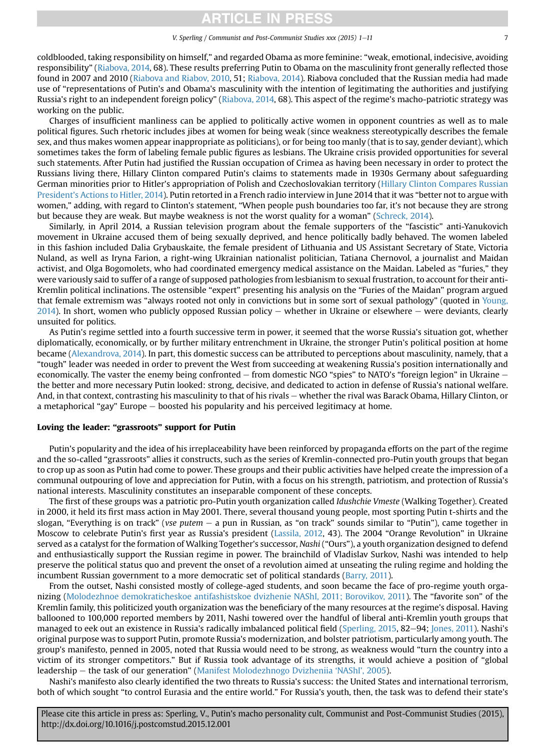#### V. Sperling / Communist and Post-Communist Studies xxx (2015) 1–11

coldblooded, taking responsibility on himself," and regarded Obama as more feminine: "weak, emotional, indecisive, avoiding responsibility" ([Riabova, 2014](#page-9-0), 68). These results preferring Putin to Obama on the masculinity front generally reflected those found in 2007 and 2010 ([Riabova and Riabov, 2010](#page-9-0), 51; [Riabova, 2014](#page-9-0)). Riabova concluded that the Russian media had made use of "representations of Putin's and Obama's masculinity with the intention of legitimating the authorities and justifying Russia's right to an independent foreign policy" ([Riabova, 2014](#page-9-0), 68). This aspect of the regime's macho-patriotic strategy was working on the public.

Charges of insufficient manliness can be applied to politically active women in opponent countries as well as to male political figures. Such rhetoric includes jibes at women for being weak (since weakness stereotypically describes the female sex, and thus makes women appear inappropriate as politicians), or for being too manly (that is to say, gender deviant), which sometimes takes the form of labeling female public figures as lesbians. The Ukraine crisis provided opportunities for several such statements. After Putin had justified the Russian occupation of Crimea as having been necessary in order to protect the Russians living there, Hillary Clinton compared Putin's claims to statements made in 1930s Germany about safeguarding German minorities prior to Hitler's appropriation of Polish and Czechoslovakian territory [\(Hillary Clinton Compares Russian](#page-9-0) [President's Actions to Hitler, 2014](#page-9-0)). Putin retorted in a French radio interview in June 2014 that it was "better not to argue with women," adding, with regard to Clinton's statement, "When people push boundaries too far, it's not because they are strong but because they are weak. But maybe weakness is not the worst quality for a woman" ([Schreck, 2014](#page-9-0)).

Similarly, in April 2014, a Russian television program about the female supporters of the "fascistic" anti-Yanukovich movement in Ukraine accused them of being sexually deprived, and hence politically badly behaved. The women labeled in this fashion included Dalia Grybauskaite, the female president of Lithuania and US Assistant Secretary of State, Victoria Nuland, as well as Iryna Farion, a right-wing Ukrainian nationalist politician, Tatiana Chernovol, a journalist and Maidan activist, and Olga Bogomolets, who had coordinated emergency medical assistance on the Maidan. Labeled as "furies," they were variously said to suffer of a range of supposed pathologies from lesbianism to sexual frustration, to account for their anti-Kremlin political inclinations. The ostensible "expert" presenting his analysis on the "Furies of the Maidan" program argued that female extremism was "always rooted not only in convictions but in some sort of sexual pathology" (quoted in [Young,](#page-10-0)  $2014$ ). In short, women who publicly opposed Russian policy  $-$  whether in Ukraine or elsewhere  $-$  were deviants, clearly unsuited for politics.

As Putin's regime settled into a fourth successive term in power, it seemed that the worse Russia's situation got, whether diplomatically, economically, or by further military entrenchment in Ukraine, the stronger Putin's political position at home became ([Alexandrova, 2014\)](#page-8-0). In part, this domestic success can be attributed to perceptions about masculinity, namely, that a "tough" leader was needed in order to prevent the West from succeeding at weakening Russia's position internationally and economically. The vaster the enemy being confronted – from domestic NGO "spies" to NATO's "foreign legion" in Ukraine – the better and more necessary Putin looked: strong, decisive, and dedicated to action in defense of Russia's national welfare. And, in that context, contrasting his masculinity to that of his rivals – whether the rival was Barack Obama, Hillary Clinton, or a metaphorical "gay" Europe  $-$  boosted his popularity and his perceived legitimacy at home.

#### Loving the leader: "grassroots" support for Putin

Putin's popularity and the idea of his irreplaceability have been reinforced by propaganda efforts on the part of the regime and the so-called "grassroots" allies it constructs, such as the series of Kremlin-connected pro-Putin youth groups that began to crop up as soon as Putin had come to power. These groups and their public activities have helped create the impression of a communal outpouring of love and appreciation for Putin, with a focus on his strength, patriotism, and protection of Russia's national interests. Masculinity constitutes an inseparable component of these concepts.

The first of these groups was a patriotic pro-Putin youth organization called Idushchie Vmeste (Walking Together). Created in 2000, it held its first mass action in May 2001. There, several thousand young people, most sporting Putin t-shirts and the slogan, "Everything is on track" (vse putem  $-$  a pun in Russian, as "on track" sounds similar to "Putin"), came together in Moscow to celebrate Putin's first year as Russia's president ([Lassila, 2012,](#page-9-0) 43). The 2004 "Orange Revolution" in Ukraine served as a catalyst for the formation of Walking Together's successor, Nashi ("Ours"), a youth organization designed to defend and enthusiastically support the Russian regime in power. The brainchild of Vladislav Surkov, Nashi was intended to help preserve the political status quo and prevent the onset of a revolution aimed at unseating the ruling regime and holding the incumbent Russian government to a more democratic set of political standards ([Barry, 2011](#page-8-0)).

From the outset, Nashi consisted mostly of college-aged students, and soon became the face of pro-regime youth organizing ([Molodezhnoe demokraticheskoe antifashistskoe dvizhenie NAShI, 2011; Borovikov, 2011\)](#page-9-0). The "favorite son" of the Kremlin family, this politicized youth organization was the beneficiary of the many resources at the regime's disposal. Having ballooned to 100,000 reported members by 2011, Nashi towered over the handful of liberal anti-Kremlin youth groups that managed to eek out an existence in Russia's radically imbalanced political field [\(Sperling, 2015,](#page-10-0) 82–94; [Jones, 2011](#page-9-0)). Nashi's original purpose was to support Putin, promote Russia's modernization, and bolster patriotism, particularly among youth. The group's manifesto, penned in 2005, noted that Russia would need to be strong, as weakness would "turn the country into a victim of its stronger competitors." But if Russia took advantage of its strengths, it would achieve a position of "global leadership e the task of our generation" [\(Manifest Molodezhnogo Dvizheniia](#page-9-0) 'NAShI', 2005).

Nashi's manifesto also clearly identified the two threats to Russia's success: the United States and international terrorism, both of which sought "to control Eurasia and the entire world." For Russia's youth, then, the task was to defend their state's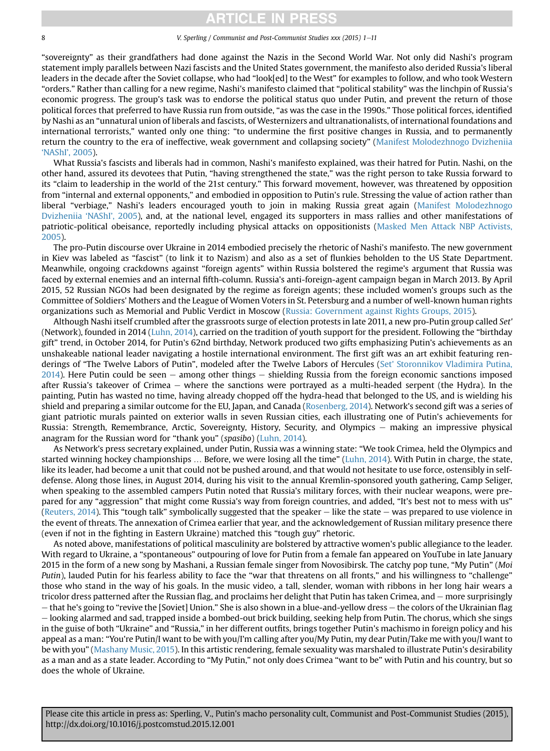#### V. Sperling / Communist and Post-Communist Studies xxx (2015)  $1-11$

"sovereignty" as their grandfathers had done against the Nazis in the Second World War. Not only did Nashi's program statement imply parallels between Nazi fascists and the United States government, the manifesto also derided Russia's liberal leaders in the decade after the Soviet collapse, who had "look[ed] to the West" for examples to follow, and who took Western "orders." Rather than calling for a new regime, Nashi's manifesto claimed that "political stability" was the linchpin of Russia's economic progress. The group's task was to endorse the political status quo under Putin, and prevent the return of those political forces that preferred to have Russia run from outside, "as was the case in the 1990s." Those political forces, identified by Nashi as an "unnatural union of liberals and fascists, of Westernizers and ultranationalists, of international foundations and international terrorists," wanted only one thing: "to undermine the first positive changes in Russia, and to permanently return the country to the era of ineffective, weak government and collapsing society" ([Manifest Molodezhnogo Dvizheniia](#page-9-0) 'NAShI'[, 2005\)](#page-9-0).

What Russia's fascists and liberals had in common, Nashi's manifesto explained, was their hatred for Putin. Nashi, on the other hand, assured its devotees that Putin, "having strengthened the state," was the right person to take Russia forward to its "claim to leadership in the world of the 21st century." This forward movement, however, was threatened by opposition from "internal and external opponents," and embodied in opposition to Putin's rule. Stressing the value of action rather than liberal "verbiage," Nashi's leaders encouraged youth to join in making Russia great again [\(Manifest Molodezhnogo](#page-9-0) [Dvizheniia](#page-9-0) 'NAShI', 2005), and, at the national level, engaged its supporters in mass rallies and other manifestations of patriotic-political obeisance, reportedly including physical attacks on oppositionists [\(Masked Men Attack NBP Activists,](#page-9-0) [2005](#page-9-0)).

The pro-Putin discourse over Ukraine in 2014 embodied precisely the rhetoric of Nashi's manifesto. The new government in Kiev was labeled as "fascist" (to link it to Nazism) and also as a set of flunkies beholden to the US State Department. Meanwhile, ongoing crackdowns against "foreign agents" within Russia bolstered the regime's argument that Russia was faced by external enemies and an internal fifth-column. Russia's anti-foreign-agent campaign began in March 2013. By April 2015, 52 Russian NGOs had been designated by the regime as foreign agents; these included women's groups such as the Committee of Soldiers' Mothers and the League of Women Voters in St. Petersburg and a number of well-known human rights organizations such as Memorial and Public Verdict in Moscow ([Russia: Government against Rights Groups, 2015](#page-9-0)).

Although Nashi itself crumbled after the grassroots surge of election protests in late 2011, a new pro-Putin group called Set' (Network), founded in 2014 ([Luhn, 2014\)](#page-9-0), carried on the tradition of youth support for the president. Following the "birthday gift" trend, in October 2014, for Putin's 62nd birthday, Network produced two gifts emphasizing Putin's achievements as an unshakeable national leader navigating a hostile international environment. The first gift was an art exhibit featuring renderings of "The Twelve Labors of Putin", modeled after the Twelve Labors of Hercules [\(Set' Storonnikov Vladimira Putina,](#page-9-0)  $2014$ ). Here Putin could be seen  $-$  among other things  $-$  shielding Russia from the foreign economic sanctions imposed after Russia's takeover of Crimea  $-$  where the sanctions were portrayed as a multi-headed serpent (the Hydra). In the painting, Putin has wasted no time, having already chopped off the hydra-head that belonged to the US, and is wielding his shield and preparing a similar outcome for the EU, Japan, and Canada ([Rosenberg, 2014](#page-9-0)). Network's second gift was a series of giant patriotic murals painted on exterior walls in seven Russian cities, each illustrating one of Putin's achievements for Russia: Strength, Remembrance, Arctic, Sovereignty, History, Security, and Olympics – making an impressive physical anagram for the Russian word for "thank you" (spasibo) [\(Luhn, 2014\)](#page-9-0).

As Network's press secretary explained, under Putin, Russia was a winning state: "We took Crimea, held the Olympics and started winning hockey championships … Before, we were losing all the time" ([Luhn, 2014](#page-9-0)). With Putin in charge, the state, like its leader, had become a unit that could not be pushed around, and that would not hesitate to use force, ostensibly in selfdefense. Along those lines, in August 2014, during his visit to the annual Kremlin-sponsored youth gathering, Camp Seliger, when speaking to the assembled campers Putin noted that Russia's military forces, with their nuclear weapons, were prepared for any "aggression" that might come Russia's way from foreign countries, and added, "It's best not to mess with us" [\(Reuters, 2014\)](#page-9-0). This "tough talk" symbolically suggested that the speaker  $-$  like the state  $-$  was prepared to use violence in the event of threats. The annexation of Crimea earlier that year, and the acknowledgement of Russian military presence there (even if not in the fighting in Eastern Ukraine) matched this "tough guy" rhetoric.

As noted above, manifestations of political masculinity are bolstered by attractive women's public allegiance to the leader. With regard to Ukraine, a "spontaneous" outpouring of love for Putin from a female fan appeared on YouTube in late January 2015 in the form of a new song by Mashani, a Russian female singer from Novosibirsk. The catchy pop tune, "My Putin" (Moi Putin), lauded Putin for his fearless ability to face the "war that threatens on all fronts," and his willingness to "challenge" those who stand in the way of his goals. In the music video, a tall, slender, woman with ribbons in her long hair wears a tricolor dress patterned after the Russian flag, and proclaims her delight that Putin has taken Crimea, and – more surprisingly e that he's going to "revive the [Soviet] Union." She is also shown in a blue-and-yellow dress e the colors of the Ukrainian flag e looking alarmed and sad, trapped inside a bombed-out brick building, seeking help from Putin. The chorus, which she sings in the guise of both "Ukraine" and "Russia," in her different outfits, brings together Putin's machismo in foreign policy and his appeal as a man: "You're Putin/I want to be with you/I'm calling after you/My Putin, my dear Putin/Take me with you/I want to be with you" ([Mashany Music, 2015\)](#page-9-0). In this artistic rendering, female sexuality was marshaled to illustrate Putin's desirability as a man and as a state leader. According to "My Putin," not only does Crimea "want to be" with Putin and his country, but so does the whole of Ukraine.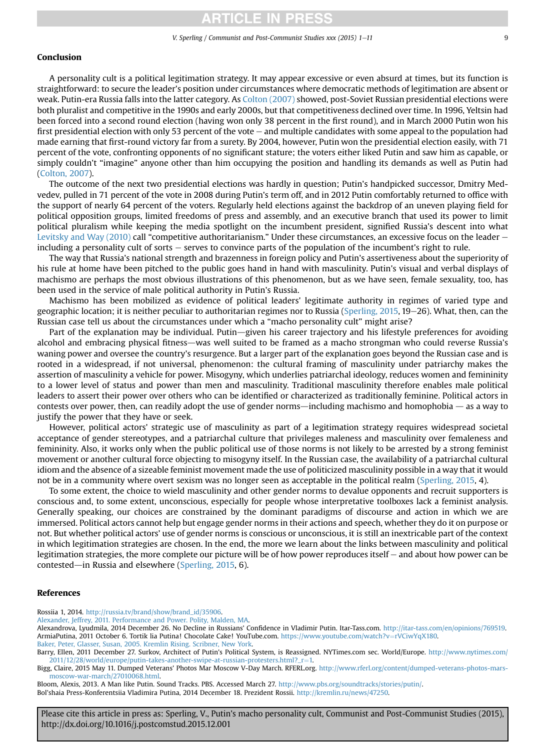### ICI E IN PRES

#### <span id="page-8-0"></span>Conclusion

A personality cult is a political legitimation strategy. It may appear excessive or even absurd at times, but its function is straightforward: to secure the leader's position under circumstances where democratic methods of legitimation are absent or weak. Putin-era Russia falls into the latter category. As [Colton \(2007\)](#page-9-0) showed, post-Soviet Russian presidential elections were both pluralist and competitive in the 1990s and early 2000s, but that competitiveness declined over time. In 1996, Yeltsin had been forced into a second round election (having won only 38 percent in the first round), and in March 2000 Putin won his first presidential election with only 53 percent of the vote – and multiple candidates with some appeal to the population had made earning that first-round victory far from a surety. By 2004, however, Putin won the presidential election easily, with 71 percent of the vote, confronting opponents of no significant stature; the voters either liked Putin and saw him as capable, or simply couldn't "imagine" anyone other than him occupying the position and handling its demands as well as Putin had ([Colton, 2007\)](#page-9-0).

The outcome of the next two presidential elections was hardly in question; Putin's handpicked successor, Dmitry Medvedev, pulled in 71 percent of the vote in 2008 during Putin's term off, and in 2012 Putin comfortably returned to office with the support of nearly 64 percent of the voters. Regularly held elections against the backdrop of an uneven playing field for political opposition groups, limited freedoms of press and assembly, and an executive branch that used its power to limit political pluralism while keeping the media spotlight on the incumbent president, signified Russia's descent into what [Levitsky and Way \(2010\)](#page-9-0) call "competitive authoritarianism." Under these circumstances, an excessive focus on the leader including a personality cult of sorts  $-$  serves to convince parts of the population of the incumbent's right to rule.

The way that Russia's national strength and brazenness in foreign policy and Putin's assertiveness about the superiority of his rule at home have been pitched to the public goes hand in hand with masculinity. Putin's visual and verbal displays of machismo are perhaps the most obvious illustrations of this phenomenon, but as we have seen, female sexuality, too, has been used in the service of male political authority in Putin's Russia.

Machismo has been mobilized as evidence of political leaders' legitimate authority in regimes of varied type and geographic location; it is neither peculiar to authoritarian regimes nor to Russia ([Sperling, 2015](#page-10-0), 19-26). What, then, can the Russian case tell us about the circumstances under which a "macho personality cult" might arise?

Part of the explanation may be individual. Putin—given his career trajectory and his lifestyle preferences for avoiding alcohol and embracing physical fitness—was well suited to be framed as a macho strongman who could reverse Russia's waning power and oversee the country's resurgence. But a larger part of the explanation goes beyond the Russian case and is rooted in a widespread, if not universal, phenomenon: the cultural framing of masculinity under patriarchy makes the assertion of masculinity a vehicle for power. Misogyny, which underlies patriarchal ideology, reduces women and femininity to a lower level of status and power than men and masculinity. Traditional masculinity therefore enables male political leaders to assert their power over others who can be identified or characterized as traditionally feminine. Political actors in contests over power, then, can readily adopt the use of gender norms—including machismo and homophobia — as a way to justify the power that they have or seek.

However, political actors' strategic use of masculinity as part of a legitimation strategy requires widespread societal acceptance of gender stereotypes, and a patriarchal culture that privileges maleness and masculinity over femaleness and femininity. Also, it works only when the public political use of those norms is not likely to be arrested by a strong feminist movement or another cultural force objecting to misogyny itself. In the Russian case, the availability of a patriarchal cultural idiom and the absence of a sizeable feminist movement made the use of politicized masculinity possible in a way that it would not be in a community where overt sexism was no longer seen as acceptable in the political realm [\(Sperling, 2015,](#page-10-0) 4).

To some extent, the choice to wield masculinity and other gender norms to devalue opponents and recruit supporters is conscious and, to some extent, unconscious, especially for people whose interpretative toolboxes lack a feminist analysis. Generally speaking, our choices are constrained by the dominant paradigms of discourse and action in which we are immersed. Political actors cannot help but engage gender norms in their actions and speech, whether they do it on purpose or not. But whether political actors' use of gender norms is conscious or unconscious, it is still an inextricable part of the context in which legitimation strategies are chosen. In the end, the more we learn about the links between masculinity and political legitimation strategies, the more complete our picture will be of how power reproduces itself  $-$  and about how power can be contested—in Russia and elsewhere ([Sperling, 2015](#page-10-0), 6).

#### References

Rossiia 1, 2014. [http://russia.tv/brand/show/brand\\_id/35906.](http://russia.tv/brand/show/brand_id/35906)

[Alexander, Jeffrey, 2011. Performance and Power. Polity, Malden, MA.](http://refhub.elsevier.com/S0967-067X(15)00060-4/sref2)

Alexandrova, Lyudmila, 2014 December 26. No Decline in Russians' Confidence in Vladimir Putin. Itar-Tass.com. <http://itar-tass.com/en/opinions/769519>. ArmiaPutina, 2011 October 6. Tortik lia Putina! Chocolate Cake! YouTube.com. [https://www.youtube.com/watch?v](https://www.youtube.com/watch?v=rVCiwYqX180)=[rVCiwYqX180.](https://www.youtube.com/watch?v=rVCiwYqX180) [Baker, Peter, Glasser, Susan, 2005. Kremlin Rising. Scribner, New York](http://refhub.elsevier.com/S0967-067X(15)00060-4/sref5).

Barry, Ellen, 2011 December 27. Surkov, Architect of Putin's Political System, is Reassigned. NYTimes.com sec. World/Europe. [http://www.nytimes.com/](http://www.nytimes.com/2011/12/28/world/europe/putin-takes-another-swipe-at-russian-protesters.html?_r=1) [2011/12/28/world/europe/putin-takes-another-swipe-at-russian-protesters.html?\\_r](http://www.nytimes.com/2011/12/28/world/europe/putin-takes-another-swipe-at-russian-protesters.html?_r=1)=[1.](http://www.nytimes.com/2011/12/28/world/europe/putin-takes-another-swipe-at-russian-protesters.html?_r=1)

Bigg, Claire, 2015 May 11. Dumped Veterans' Photos Mar Moscow V-Day March. RFERL.org. [http://www.rferl.org/content/dumped-veterans-photos-mars](http://www.rferl.org/content/dumped-veterans-photos-mars-moscow-war-march/27010068.html)[moscow-war-march/27010068.html.](http://www.rferl.org/content/dumped-veterans-photos-mars-moscow-war-march/27010068.html)

Bloom, Alexis, 2013. A Man like Putin. Sound Tracks. PBS. Accessed March 27. [http://www.pbs.org/soundtracks/stories/putin/.](http://www.pbs.org/soundtracks/stories/putin/) Bol'shaia Press-Konferentsiia Vladimira Putina, 2014 December 18. Prezident Rossii. <http://kremlin.ru/news/47250>.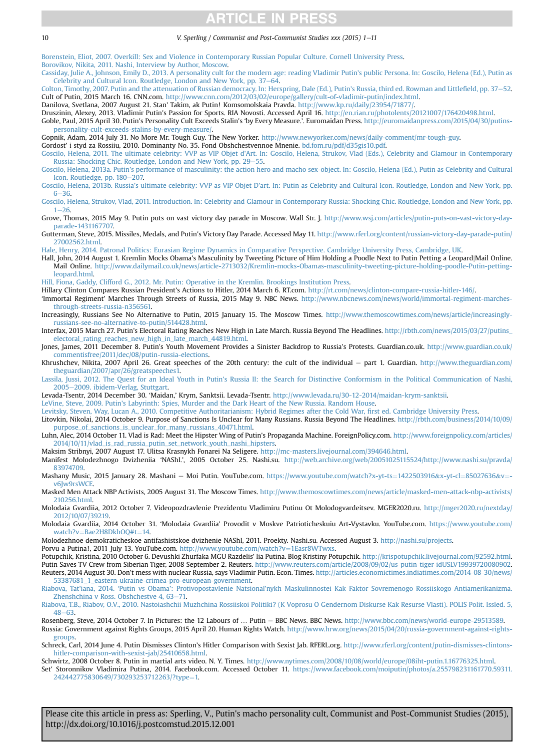#### <span id="page-9-0"></span>10 10 V. Sperling / Communist and Post-Communist Studies xxx (2015) 1-11

[Borenstein, Eliot, 2007. Overkill: Sex and Violence in Contemporary Russian Popular Culture. Cornell University Press.](http://refhub.elsevier.com/S0967-067X(15)00060-4/sref10) [Borovikov, Nikita, 2011. Nashi, Interview by Author, Moscow](http://refhub.elsevier.com/S0967-067X(15)00060-4/sref11). [Cassiday, Julie A., Johnson, Emily D., 2013. A personality cult for the modern age: reading Vladimir Putin's public Persona. In: Goscilo, Helena \(Ed.\), Putin as](http://refhub.elsevier.com/S0967-067X(15)00060-4/sref12) [Celebrity and Cultural Icon. Routledge, London and New York, pp. 37](http://refhub.elsevier.com/S0967-067X(15)00060-4/sref12)-[64.](http://refhub.elsevier.com/S0967-067X(15)00060-4/sref12) [Colton, Timothy, 2007. Putin and the attenuation of Russian democracy. In: Herspring, Dale \(Ed.\), Putin's Russia, third ed. Rowman and Little](http://refhub.elsevier.com/S0967-067X(15)00060-4/sref13)field, pp. 37-[52.](http://refhub.elsevier.com/S0967-067X(15)00060-4/sref13) Cult of Putin, 2015 March 16. CNN.com. [http://www.cnn.com/2012/03/02/europe/gallery/cult-of-vladimir-putin/index.html.](http://www.cnn.com/2012/03/02/europe/gallery/cult-of-vladimir-putin/index.html) Danilova, Svetlana, 2007 August 21. Stan' Takim, ak Putin! Komsomolskaia Pravda. [http://www.kp.ru/daily/23954/71877/.](http://www.kp.ru/daily/23954/71877/) Druszinin, Alexey, 2013. Vladimir Putin's Passion for Sports. RIA Novosti. Accessed April 16. [http://en.rian.ru/photolents/20121007/176420498.html.](http://en.rian.ru/photolents/20121007/176420498.html) Goble, Paul, 2015 April 30. Putin's Personality Cult Exceeds Stalin's 'by Every Measure.'. Euromaidan Press. [http://euromaidanpress.com/2015/04/30/putins](http://euromaidanpress.com/2015/04/30/putins-personality-cult-exceeds-stalins-by-every-measure/)[personality-cult-exceeds-stalins-by-every-measure/.](http://euromaidanpress.com/2015/04/30/putins-personality-cult-exceeds-stalins-by-every-measure/) Gopnik, Adam, 2014 July 31. No More Mr. Tough Guy. The New Yorker. [http://www.newyorker.com/news/daily-comment/mr-tough-guy.](http://www.newyorker.com/news/daily-comment/mr-tough-guy) Gordost' i styd za Rossiiu, 2010. Dominanty No. 35. Fond Obshchestvennoe Mnenie. [bd.fom.ru/pdf/d35gis10.pdf.](http://bd.fom.ru/pdf/d35gis10.pdf)

[Goscilo, Helena, 2011. The ultimate celebrity: VVP as VIP Objet d'Art. In: Goscilo, Helena, Strukov, Vlad \(Eds.\), Celebrity and Glamour in Contemporary](http://refhub.elsevier.com/S0967-067X(15)00060-4/sref20) [Russia: Shocking Chic. Routledge, London and New York, pp. 29](http://refhub.elsevier.com/S0967-067X(15)00060-4/sref20)-[55.](http://refhub.elsevier.com/S0967-067X(15)00060-4/sref20)

[Goscilo, Helena, 2013a. Putin's performance of masculinity: the action hero and macho sex-object. In: Goscilo, Helena \(Ed.\), Putin as Celebrity and](http://refhub.elsevier.com/S0967-067X(15)00060-4/sref21) Cultural [Icon. Routledge, pp. 180](http://refhub.elsevier.com/S0967-067X(15)00060-4/sref21)-[207.](http://refhub.elsevier.com/S0967-067X(15)00060-4/sref21)

[Goscilo, Helena, 2013b. Russia's ultimate celebrity: VVP as VIP Objet D'art. In: Putin as Celebrity and Cultural Icon. Routledge, London and New York, pp.](http://refhub.elsevier.com/S0967-067X(15)00060-4/sref22)  $6 - 36$  $6 - 36$  $6 - 36$ 

[Goscilo, Helena, Strukov, Vlad, 2011. Introduction. In: Celebrity and Glamour in Contemporary Russia: Shocking Chic. Routledge, London and New York, pp.](http://refhub.elsevier.com/S0967-067X(15)00060-4/sref23)  $1 - 26$  $1 - 26$  $1 - 26$ .

Grove, Thomas, 2015 May 9. Putin puts on vast victory day parade in Moscow. Wall Str. J. [http://www.wsj.com/articles/putin-puts-on-vast-victory-day](http://www.wsj.com/articles/putin-puts-on-vast-victory-day-parade-1431167707)[parade-1431167707.](http://www.wsj.com/articles/putin-puts-on-vast-victory-day-parade-1431167707)

Gutterman, Steve, 2015. Missiles, Medals, and Putin's Victory Day Parade. Accessed May 11. [http://www.rferl.org/content/russian-victory-day-parade-putin/](http://www.rferl.org/content/russian-victory-day-parade-putin/27002562.html) [27002562.html](http://www.rferl.org/content/russian-victory-day-parade-putin/27002562.html).

[Hale, Henry, 2014. Patronal Politics: Eurasian Regime Dynamics in Comparative Perspective. Cambridge University Press, Cambridge, UK.](http://refhub.elsevier.com/S0967-067X(15)00060-4/sref26)

Hall, John, 2014 August 1. Kremlin Mocks Obama's Masculinity by Tweeting Picture of Him Holding a Poodle Next to Putin Petting a LeopardjMail Online. Mail Online. [http://www.dailymail.co.uk/news/article-2713032/Kremlin-mocks-Obamas-masculinity-tweeting-picture-holding-poodle-Putin-petting](http://www.dailymail.co.uk/news/article-2713032/Kremlin-mocks-Obamas-masculinity-tweeting-picture-holding-poodle-Putin-petting-leopard.html)[leopard.html](http://www.dailymail.co.uk/news/article-2713032/Kremlin-mocks-Obamas-masculinity-tweeting-picture-holding-poodle-Putin-petting-leopard.html).

[Hill, Fiona, Gaddy, Clifford G., 2012. Mr. Putin: Operative in the Kremlin. Brookings Institution Press.](http://refhub.elsevier.com/S0967-067X(15)00060-4/sref28)

Hillary Clinton Compares Russian President's Actions to Hitler, 2014 March 6. RT.com. <http://rt.com/news/clinton-compare-russia-hitler-146/>.

'Immortal Regiment' Marches Through Streets of Russia, 2015 May 9. NBC News. [http://www.nbcnews.com/news/world/immortal-regiment-marches](http://www.nbcnews.com/news/world/immortal-regiment-marches-through-streets-russia-n356561)[through-streets-russia-n356561.](http://www.nbcnews.com/news/world/immortal-regiment-marches-through-streets-russia-n356561)

Increasingly, Russians See No Alternative to Putin, 2015 January 15. The Moscow Times. [http://www.themoscowtimes.com/news/article/increasingly](http://www.themoscowtimes.com/news/article/increasingly-russians-see-no-alternative-to-putin/514428.html)[russians-see-no-alternative-to-putin/514428.html.](http://www.themoscowtimes.com/news/article/increasingly-russians-see-no-alternative-to-putin/514428.html)

Interfax, 2015 March 27. Putin's Electoral Rating Reaches New High in Late March. Russia Beyond The Headlines. [http://rbth.com/news/2015/03/27/putins\\_](http://rbth.com/news/2015/03/27/putins_electoral_rating_reaches_new_high_in_late_march_44819.html) [electoral\\_rating\\_reaches\\_new\\_high\\_in\\_late\\_march\\_44819.html.](http://rbth.com/news/2015/03/27/putins_electoral_rating_reaches_new_high_in_late_march_44819.html)

Jones, James, 2011 December 8. Putin's Youth Movement Provides a Sinister Backdrop to Russia's Protests. Guardian.co.uk. [http://www.guardian.co.uk/](http://www.guardian.co.uk/commentisfree/2011/dec/08/putin-russia-elections) [commentisfree/2011/dec/08/putin-russia-elections](http://www.guardian.co.uk/commentisfree/2011/dec/08/putin-russia-elections).

Khrushchev, Nikita, 2007 April 26. Great speeches of the 20th century: the cult of the individual  $-$  part 1. Guardian. [http://www.theguardian.com/](http://www.theguardian.com/theguardian/2007/apr/26/greatspeeches1) [theguardian/2007/apr/26/greatspeeches1.](http://www.theguardian.com/theguardian/2007/apr/26/greatspeeches1)

[Lassila, Jussi, 2012. The Quest for an Ideal Youth in Putin's Russia II: the Search for Distinctive Conformism in the Political Communication of Nashi,](http://refhub.elsevier.com/S0967-067X(15)00060-4/sref35) [2005](http://refhub.elsevier.com/S0967-067X(15)00060-4/sref35)-[2009. ibidem-Verlag, Stuttgart.](http://refhub.elsevier.com/S0967-067X(15)00060-4/sref35)

Levada-Tsentr, 2014 December 30. 'Maidan,' Krym, Sanktsii. Levada-Tsentr. <http://www.levada.ru/30-12-2014/maidan-krym-sanktsii>.

[LeVine, Steve, 2009. Putin's Labyrinth: Spies, Murder and the Dark Heart of the New Russia. Random House](http://refhub.elsevier.com/S0967-067X(15)00060-4/sref37).

[Levitsky, Steven, Way, Lucan A., 2010. Competitive Authoritarianism: Hybrid Regimes after the Cold War,](http://refhub.elsevier.com/S0967-067X(15)00060-4/sref38) first ed. Cambridge University Press.

Litovkin, Nikolai, 2014 October 9. Purpose of Sanctions Is Unclear for Many Russians. Russia Beyond The Headlines. [http://rbth.com/business/2014/10/09/](http://rbth.com/business/2014/10/09/purpose_of_sanctions_is_unclear_for_many_russians_40471.html) [purpose\\_of\\_sanctions\\_is\\_unclear\\_for\\_many\\_russians\\_40471.html.](http://rbth.com/business/2014/10/09/purpose_of_sanctions_is_unclear_for_many_russians_40471.html)

Luhn, Alec, 2014 October 11. Vlad is Rad: Meet the Hipster Wing of Putin's Propaganda Machine. ForeignPolicy.com. [http://www.foreignpolicy.com/articles/](http://www.foreignpolicy.com/articles/2014/10/11/vlad_is_rad_russia_putin_set_network_youth_nashi_hipsters) [2014/10/11/vlad\\_is\\_rad\\_russia\\_putin\\_set\\_network\\_youth\\_nashi\\_hipsters](http://www.foreignpolicy.com/articles/2014/10/11/vlad_is_rad_russia_putin_set_network_youth_nashi_hipsters).

Maksim Stribnyi, 2007 August 17. Ulitsa Krasnykh Fonarei Na Seligere. [http://mc-masters.livejournal.com/394646.html.](http://mc-masters.livejournal.com/394646.html)

Manifest Molodezhnogo Dvizheniia 'NAShI.', 2005 October 25. Nashi.su. [http://web.archive.org/web/20051025115524/http://www.nashi.su/pravda/](http://web.archive.org/web/20051025115524/http://www.nashi.su/pravda/83974709) [83974709](http://web.archive.org/web/20051025115524/http://www.nashi.su/pravda/83974709).

Mashany Music, 2015 January 28. Mashani - Moi Putin. YouTube.com. [https://www.youtube.com/watch?x-yt-ts](https://www.youtube.com/watch?x-yt-ts=1422503916&x-yt-cl=85027636&v=-v6Jw9rsWCE)=[1422503916](https://www.youtube.com/watch?x-yt-ts=1422503916&x-yt-cl=85027636&v=-v6Jw9rsWCE)&[x-yt-cl](https://www.youtube.com/watch?x-yt-ts=1422503916&x-yt-cl=85027636&v=-v6Jw9rsWCE)=[85027636](https://www.youtube.com/watch?x-yt-ts=1422503916&x-yt-cl=85027636&v=-v6Jw9rsWCE)&[v](https://www.youtube.com/watch?x-yt-ts=1422503916&x-yt-cl=85027636&v=-v6Jw9rsWCE)= [v6Jw9rsWCE.](https://www.youtube.com/watch?x-yt-ts=1422503916&x-yt-cl=85027636&v=-v6Jw9rsWCE)

Masked Men Attack NBP Activists, 2005 August 31. The Moscow Times. [http://www.themoscowtimes.com/news/article/masked-men-attack-nbp-activists/](http://www.themoscowtimes.com/news/article/masked-men-attack-nbp-activists/210256.html) [210256.html](http://www.themoscowtimes.com/news/article/masked-men-attack-nbp-activists/210256.html).

Molodaia Gvardiia, 2012 October 7. Videopozdravlenie Prezidentu Vladimiru Putinu Ot Molodogvardeitsev. MGER2020.ru. [http://mger2020.ru/nextday/](http://mger2020.ru/nextday/2012/10/07/39219) [2012/10/07/39219.](http://mger2020.ru/nextday/2012/10/07/39219)

Molodaia Gvardiia, 2014 October 31. 'Molodaia Gvardiia' Provodit v Moskve Patrioticheskuiu Art-Vystavku. YouTube.com. [https://www.youtube.com/](https://www.youtube.com/watch?v=Bae2H8DkhOQ#t=14) [watch?v](https://www.youtube.com/watch?v=Bae2H8DkhOQ#t=14)=[Bae2H8DkhOQ#t](https://www.youtube.com/watch?v=Bae2H8DkhOQ#t=14)=[14.](https://www.youtube.com/watch?v=Bae2H8DkhOQ#t=14)

Molodezhnoe demokraticheskoe antifashistskoe dvizhenie NAShI, 2011. Proekty. Nashi.su. Accessed August 3. [http://nashi.su/projects.](http://nashi.su/projects)

Porvu a Putina!, 2011 July 13. YouTube.com. [http://www.youtube.com/watch?v](http://www.youtube.com/watch?v=1Easr8WTwxs)=[1Easr8WTwxs](http://www.youtube.com/watch?v=1Easr8WTwxs).

Potupchik, Kristina, 2010 October 6. Devushki Zhurfaka MGU Razdelis' lia Putina. Blog Kristiny Potupchik. [http://krispotupchik.livejournal.com/92592.html.](http://krispotupchik.livejournal.com/92592.html) Putin Saves TV Crew from Siberian Tiger, 2008 September 2. Reuters. [http://www.reuters.com/article/2008/09/02/us-putin-tiger-idUSLV19939720080902.](http://www.reuters.com/article/2008/09/02/us-putin-tiger-idUSLV19939720080902) Reuters, 2014 August 30. Don't mess with nuclear Russia, says Vladimir Putin. Econ. Times. [http://articles.economictimes.indiatimes.com/2014-08-30/news/](http://articles.economictimes.indiatimes.com/2014-08-30/news/53387681_1_eastern-ukraine-crimea-pro-european-government) [53387681\\_1\\_eastern-ukraine-crimea-pro-european-government.](http://articles.economictimes.indiatimes.com/2014-08-30/news/53387681_1_eastern-ukraine-crimea-pro-european-government)

Riabova, Tat'iana, 2014. 'Putin vs Obama'[: Protivopostavlenie Natsional'nykh Maskulinnostei Kak Faktor Sovremenogo Rossiiskogo Antiamerikanizma.](http://refhub.elsevier.com/S0967-067X(15)00060-4/sref52) [Zhenshchina v Ross. Obshchestve 4, 63](http://refhub.elsevier.com/S0967-067X(15)00060-4/sref52)-[71.](http://refhub.elsevier.com/S0967-067X(15)00060-4/sref52)

[Riabova, T.B., Riabov, O.V., 2010. Nastoiashchii Muzhchina Rossiiskoi Politiki? \(K Voprosu O Gendernom Diskurse Kak Resurse Vlasti\). POLIS Polit.](http://refhub.elsevier.com/S0967-067X(15)00060-4/sref53) Issled. 5,  $48 - 63$  $48 - 63$  $48 - 63$ .

Rosenberg, Steve, 2014 October 7. In Pictures: the 12 Labours of ... Putin - BBC News. BBC News. [http://www.bbc.com/news/world-europe-29513589.](http://www.bbc.com/news/world-europe-29513589)

Russia: Government against Rights Groups, 2015 April 20. Human Rights Watch. [http://www.hrw.org/news/2015/04/20/russia-government-against-rights](http://www.hrw.org/news/2015/04/20/russia-government-against-rights-groups)groups

Schreck, Carl, 2014 June 4. Putin Dismisses Clinton's Hitler Comparison with Sexist Jab. RFERL.org. [http://www.rferl.org/content/putin-dismisses-clintons](http://www.rferl.org/content/putin-dismisses-clintons-hitler-comparison-with-sexist-jab/25410658.html)[hitler-comparison-with-sexist-jab/25410658.html.](http://www.rferl.org/content/putin-dismisses-clintons-hitler-comparison-with-sexist-jab/25410658.html)

Schwirtz, 2008 October 8. Putin in martial arts video. N. Y. Times. <http://www.nytimes.com/2008/10/08/world/europe/08iht-putin.1.16776325.html>.

Set' Storonnikov Vladimira Putina, 2014. Facebook.com. Accessed October 11. [https://www.facebook.com/moiputin/photos/a.255798231161770.59311.](https://www.facebook.com/moiputin/photos/a.255798231161770.59311.242442775830649/730293253712263/?type=1) [242442775830649/730293253712263/?type](https://www.facebook.com/moiputin/photos/a.255798231161770.59311.242442775830649/730293253712263/?type=1)=[1.](https://www.facebook.com/moiputin/photos/a.255798231161770.59311.242442775830649/730293253712263/?type=1)